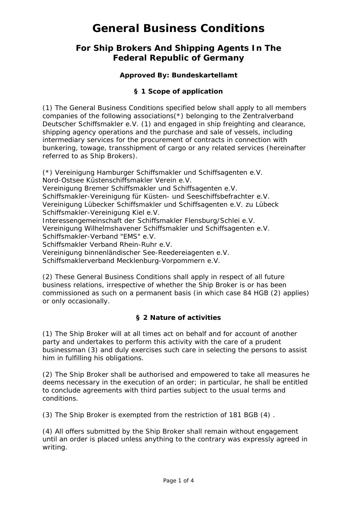## **For Ship Brokers And Shipping Agents In The Federal Republic of Germany**

## **Approved By: Bundeskartellamt**

## **§ 1 Scope of application**

(1) The General Business Conditions specified below shall apply to all members companies of the following associations(\*) belonging to the Zentralverband Deutscher Schiffsmakler e.V. (1) and engaged in ship freighting and clearance, shipping agency operations and the purchase and sale of vessels, including intermediary services for the procurement of contracts in connection with bunkering, towage, transshipment of cargo or any related services (hereinafter referred to as Ship Brokers).

(\*) Vereinigung Hamburger Schiffsmakler und Schiffsagenten e.V. Nord-Ostsee Küstenschiffsmakler Verein e.V. Vereinigung Bremer Schiffsmakler und Schiffsagenten e.V. Schiffsmakler-Vereinigung für Küsten- und Seeschiffsbefrachter e.V. Vereinigung Lübecker Schiffsmakler und Schiffsagenten e.V. zu Lübeck Schiffsmakler-Vereinigung Kiel e.V. Interessengemeinschaft der Schiffsmakler Flensburg/Schlei e.V. Vereinigung Wilhelmshavener Schiffsmakler und Schiffsagenten e.V. Schiffsmakler-Verband "EMS" e.V. Schiffsmakler Verband Rhein-Ruhr e.V. Vereinigung binnenländischer See-Reedereiagenten e.V. Schiffsmaklerverband Mecklenburg-Vorpommern e.V.

(2) These General Business Conditions shall apply in respect of all future business relations, irrespective of whether the Ship Broker is or has been commissioned as such on a permanent basis (in which case 84 HGB (2) applies) or only occasionally.

### **§ 2 Nature of activities**

(1) The Ship Broker will at all times act on behalf and for account of another party and undertakes to perform this activity with the care of a prudent businessman (3) and duly exercises such care in selecting the persons to assist him in fulfilling his obligations.

(2) The Ship Broker shall be authorised and empowered to take all measures he deems necessary in the execution of an order; in particular, he shall be entitled to conclude agreements with third parties subject to the usual terms and conditions.

(3) The Ship Broker is exempted from the restriction of 181 BGB (4) .

(4) All offers submitted by the Ship Broker shall remain without engagement until an order is placed unless anything to the contrary was expressly agreed in writing.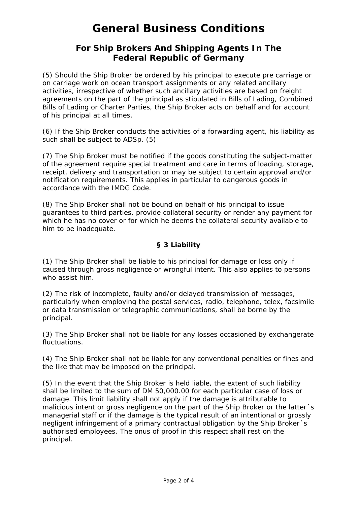## **For Ship Brokers And Shipping Agents In The Federal Republic of Germany**

(5) Should the Ship Broker be ordered by his principal to execute pre carriage or on carriage work on ocean transport assignments or any related ancillary activities, irrespective of whether such ancillary activities are based on freight agreements on the part of the principal as stipulated in Bills of Lading, Combined Bills of Lading or Charter Parties, the Ship Broker acts on behalf and for account of his principal at all times.

(6) If the Ship Broker conducts the activities of a forwarding agent, his liability as such shall be subject to ADSp. (5)

(7) The Ship Broker must be notified if the goods constituting the subject-matter of the agreement require special treatment and care in terms of loading, storage, receipt, delivery and transportation or may be subject to certain approval and/or notification requirements. This applies in particular to dangerous goods in accordance with the IMDG Code.

(8) The Ship Broker shall not be bound on behalf of his principal to issue guarantees to third parties, provide collateral security or render any payment for which he has no cover or for which he deems the collateral security available to him to be inadequate.

## **§ 3 Liability**

(1) The Ship Broker shall be liable to his principal for damage or loss only if caused through gross negligence or wrongful intent. This also applies to persons who assist him.

(2) The risk of incomplete, faulty and/or delayed transmission of messages, particularly when employing the postal services, radio, telephone, telex, facsimile or data transmission or telegraphic communications, shall be borne by the principal.

(3) The Ship Broker shall not be liable for any losses occasioned by exchangerate fluctuations.

(4) The Ship Broker shall not be liable for any conventional penalties or fines and the like that may be imposed on the principal.

(5) In the event that the Ship Broker is held liable, the extent of such liability shall be limited to the sum of DM 50,000.00 for each particular case of loss or damage. This limit liability shall not apply if the damage is attributable to malicious intent or gross negligence on the part of the Ship Broker or the latter´s managerial staff or if the damage is the typical result of an intentional or grossly negligent infringement of a primary contractual obligation by the Ship Broker´s authorised employees. The onus of proof in this respect shall rest on the principal.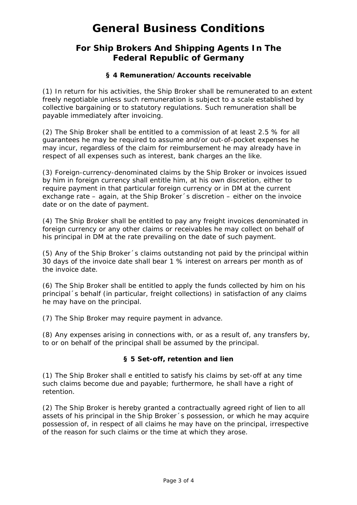## **For Ship Brokers And Shipping Agents In The Federal Republic of Germany**

### **§ 4 Remuneration/Accounts receivable**

(1) In return for his activities, the Ship Broker shall be remunerated to an extent freely negotiable unless such remuneration is subject to a scale established by collective bargaining or to statutory regulations. Such remuneration shall be payable immediately after invoicing.

(2) The Ship Broker shall be entitled to a commission of at least 2.5 % for all guarantees he may be required to assume and/or out-of-pocket expenses he may incur, regardless of the claim for reimbursement he may already have in respect of all expenses such as interest, bank charges an the like.

(3) Foreign-currency-denominated claims by the Ship Broker or invoices issued by him in foreign currency shall entitle him, at his own discretion, either to require payment in that particular foreign currency or in DM at the current exchange rate – again, at the Ship Broker´s discretion – either on the invoice date or on the date of payment.

(4) The Ship Broker shall be entitled to pay any freight invoices denominated in foreign currency or any other claims or receivables he may collect on behalf of his principal in DM at the rate prevailing on the date of such payment.

(5) Any of the Ship Broker´s claims outstanding not paid by the principal within 30 days of the invoice date shall bear 1 % interest on arrears per month as of the invoice date.

(6) The Ship Broker shall be entitled to apply the funds collected by him on his principal´s behalf (in particular, freight collections) in satisfaction of any claims he may have on the principal.

(7) The Ship Broker may require payment in advance.

(8) Any expenses arising in connections with, or as a result of, any transfers by, to or on behalf of the principal shall be assumed by the principal.

#### **§ 5 Set-off, retention and lien**

(1) The Ship Broker shall e entitled to satisfy his claims by set-off at any time such claims become due and payable; furthermore, he shall have a right of retention.

(2) The Ship Broker is hereby granted a contractually agreed right of lien to all assets of his principal in the Ship Broker´s possession, or which he may acquire possession of, in respect of all claims he may have on the principal, irrespective of the reason for such claims or the time at which they arose.